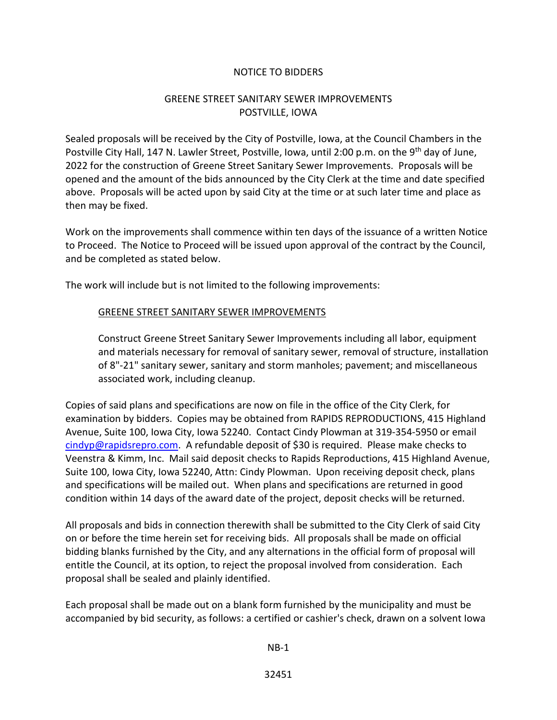## NOTICE TO BIDDERS

## GREENE STREET SANITARY SEWER IMPROVEMENTS POSTVILLE, IOWA

Sealed proposals will be received by the City of Postville, Iowa, at the Council Chambers in the Postville City Hall, 147 N. Lawler Street, Postville, Iowa, until 2:00 p.m. on the 9<sup>th</sup> day of June, 2022 for the construction of Greene Street Sanitary Sewer Improvements. Proposals will be opened and the amount of the bids announced by the City Clerk at the time and date specified above. Proposals will be acted upon by said City at the time or at such later time and place as then may be fixed.

Work on the improvements shall commence within ten days of the issuance of a written Notice to Proceed. The Notice to Proceed will be issued upon approval of the contract by the Council, and be completed as stated below.

The work will include but is not limited to the following improvements:

## GREENE STREET SANITARY SEWER IMPROVEMENTS

Construct Greene Street Sanitary Sewer Improvements including all labor, equipment and materials necessary for removal of sanitary sewer, removal of structure, installation of 8"-21" sanitary sewer, sanitary and storm manholes; pavement; and miscellaneous associated work, including cleanup.

Copies of said plans and specifications are now on file in the office of the City Clerk, for examination by bidders. Copies may be obtained from RAPIDS REPRODUCTIONS, 415 Highland Avenue, Suite 100, Iowa City, Iowa 52240. Contact Cindy Plowman at 319-354-5950 or email [cindyp@rapidsrepro.com.](mailto:cindyp@rapidsrepro.com) A refundable deposit of \$30 is required. Please make checks to Veenstra & Kimm, Inc. Mail said deposit checks to Rapids Reproductions, 415 Highland Avenue, Suite 100, Iowa City, Iowa 52240, Attn: Cindy Plowman. Upon receiving deposit check, plans and specifications will be mailed out. When plans and specifications are returned in good condition within 14 days of the award date of the project, deposit checks will be returned.

All proposals and bids in connection therewith shall be submitted to the City Clerk of said City on or before the time herein set for receiving bids. All proposals shall be made on official bidding blanks furnished by the City, and any alternations in the official form of proposal will entitle the Council, at its option, to reject the proposal involved from consideration. Each proposal shall be sealed and plainly identified.

Each proposal shall be made out on a blank form furnished by the municipality and must be accompanied by bid security, as follows: a certified or cashier's check, drawn on a solvent Iowa

NB-1

32451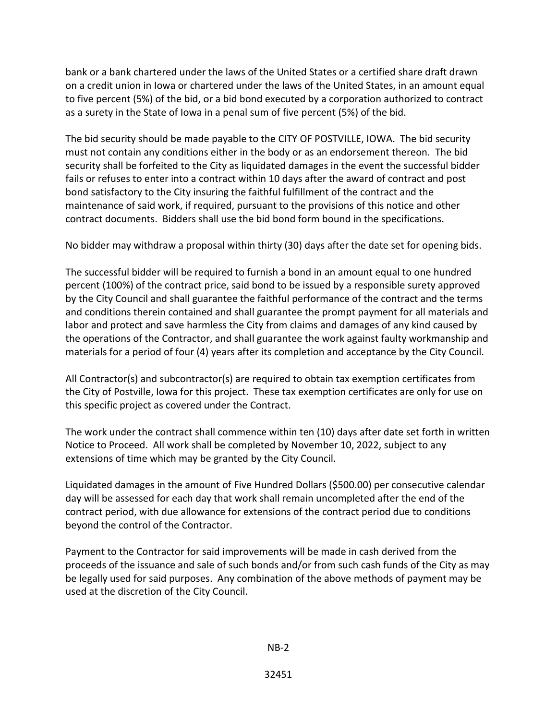bank or a bank chartered under the laws of the United States or a certified share draft drawn on a credit union in Iowa or chartered under the laws of the United States, in an amount equal to five percent (5%) of the bid, or a bid bond executed by a corporation authorized to contract as a surety in the State of Iowa in a penal sum of five percent (5%) of the bid.

The bid security should be made payable to the CITY OF POSTVILLE, IOWA. The bid security must not contain any conditions either in the body or as an endorsement thereon. The bid security shall be forfeited to the City as liquidated damages in the event the successful bidder fails or refuses to enter into a contract within 10 days after the award of contract and post bond satisfactory to the City insuring the faithful fulfillment of the contract and the maintenance of said work, if required, pursuant to the provisions of this notice and other contract documents. Bidders shall use the bid bond form bound in the specifications.

No bidder may withdraw a proposal within thirty (30) days after the date set for opening bids.

The successful bidder will be required to furnish a bond in an amount equal to one hundred percent (100%) of the contract price, said bond to be issued by a responsible surety approved by the City Council and shall guarantee the faithful performance of the contract and the terms and conditions therein contained and shall guarantee the prompt payment for all materials and labor and protect and save harmless the City from claims and damages of any kind caused by the operations of the Contractor, and shall guarantee the work against faulty workmanship and materials for a period of four (4) years after its completion and acceptance by the City Council.

All Contractor(s) and subcontractor(s) are required to obtain tax exemption certificates from the City of Postville, Iowa for this project. These tax exemption certificates are only for use on this specific project as covered under the Contract.

The work under the contract shall commence within ten (10) days after date set forth in written Notice to Proceed. All work shall be completed by November 10, 2022, subject to any extensions of time which may be granted by the City Council.

Liquidated damages in the amount of Five Hundred Dollars (\$500.00) per consecutive calendar day will be assessed for each day that work shall remain uncompleted after the end of the contract period, with due allowance for extensions of the contract period due to conditions beyond the control of the Contractor.

Payment to the Contractor for said improvements will be made in cash derived from the proceeds of the issuance and sale of such bonds and/or from such cash funds of the City as may be legally used for said purposes. Any combination of the above methods of payment may be used at the discretion of the City Council.

NB-2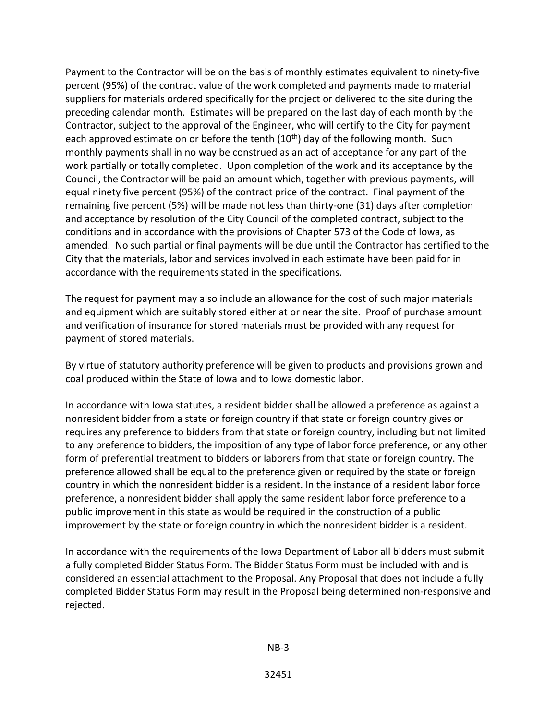Payment to the Contractor will be on the basis of monthly estimates equivalent to ninety-five percent (95%) of the contract value of the work completed and payments made to material suppliers for materials ordered specifically for the project or delivered to the site during the preceding calendar month. Estimates will be prepared on the last day of each month by the Contractor, subject to the approval of the Engineer, who will certify to the City for payment each approved estimate on or before the tenth  $(10<sup>th</sup>)$  day of the following month. Such monthly payments shall in no way be construed as an act of acceptance for any part of the work partially or totally completed. Upon completion of the work and its acceptance by the Council, the Contractor will be paid an amount which, together with previous payments, will equal ninety five percent (95%) of the contract price of the contract. Final payment of the remaining five percent (5%) will be made not less than thirty-one (31) days after completion and acceptance by resolution of the City Council of the completed contract, subject to the conditions and in accordance with the provisions of Chapter 573 of the Code of Iowa, as amended. No such partial or final payments will be due until the Contractor has certified to the City that the materials, labor and services involved in each estimate have been paid for in accordance with the requirements stated in the specifications.

The request for payment may also include an allowance for the cost of such major materials and equipment which are suitably stored either at or near the site. Proof of purchase amount and verification of insurance for stored materials must be provided with any request for payment of stored materials.

By virtue of statutory authority preference will be given to products and provisions grown and coal produced within the State of Iowa and to Iowa domestic labor.

In accordance with Iowa statutes, a resident bidder shall be allowed a preference as against a nonresident bidder from a state or foreign country if that state or foreign country gives or requires any preference to bidders from that state or foreign country, including but not limited to any preference to bidders, the imposition of any type of labor force preference, or any other form of preferential treatment to bidders or laborers from that state or foreign country. The preference allowed shall be equal to the preference given or required by the state or foreign country in which the nonresident bidder is a resident. In the instance of a resident labor force preference, a nonresident bidder shall apply the same resident labor force preference to a public improvement in this state as would be required in the construction of a public improvement by the state or foreign country in which the nonresident bidder is a resident.

In accordance with the requirements of the Iowa Department of Labor all bidders must submit a fully completed Bidder Status Form. The Bidder Status Form must be included with and is considered an essential attachment to the Proposal. Any Proposal that does not include a fully completed Bidder Status Form may result in the Proposal being determined non-responsive and rejected.